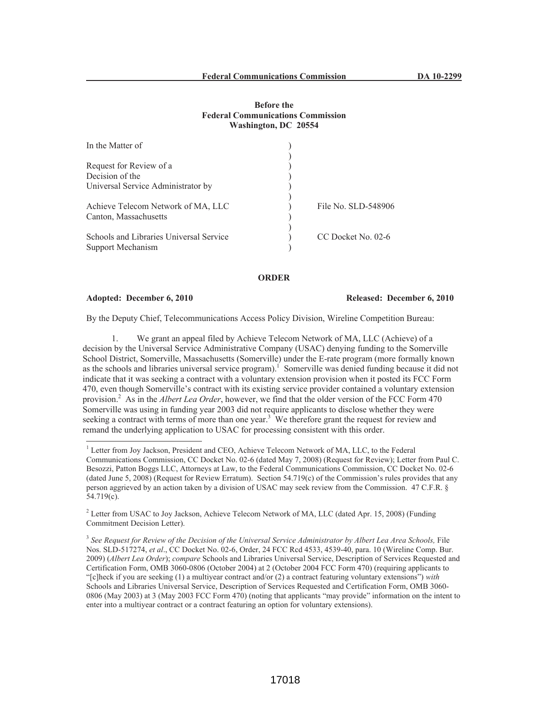# **Before the Federal Communications Commission Washington, DC 20554**

| In the Matter of                                             |                     |
|--------------------------------------------------------------|---------------------|
| Request for Review of a                                      |                     |
| Decision of the                                              |                     |
| Universal Service Administrator by                           |                     |
| Achieve Telecom Network of MA, LLC<br>Canton, Massachusetts  | File No. SLD-548906 |
| Schools and Libraries Universal Service<br>Support Mechanism | CC Docket No. 02-6  |

## **ORDER**

### **Adopted: December 6, 2010 Released: December 6, 2010**

By the Deputy Chief, Telecommunications Access Policy Division, Wireline Competition Bureau:

1. We grant an appeal filed by Achieve Telecom Network of MA, LLC (Achieve) of a decision by the Universal Service Administrative Company (USAC) denying funding to the Somerville School District, Somerville, Massachusetts (Somerville) under the E-rate program (more formally known as the schools and libraries universal service program).<sup>1</sup> Somerville was denied funding because it did not indicate that it was seeking a contract with a voluntary extension provision when it posted its FCC Form 470, even though Somerville's contract with its existing service provider contained a voluntary extension provision.<sup>2</sup> As in the *Albert Lea Order*, however, we find that the older version of the FCC Form 470 Somerville was using in funding year 2003 did not require applicants to disclose whether they were seeking a contract with terms of more than one year.<sup>3</sup> We therefore grant the request for review and remand the underlying application to USAC for processing consistent with this order.

<sup>2</sup> Letter from USAC to Joy Jackson, Achieve Telecom Network of MA, LLC (dated Apr. 15, 2008) (Funding Commitment Decision Letter).

<sup>&</sup>lt;sup>1</sup> Letter from Joy Jackson, President and CEO, Achieve Telecom Network of MA, LLC, to the Federal Communications Commission, CC Docket No. 02-6 (dated May 7, 2008) (Request for Review); Letter from Paul C. Besozzi, Patton Boggs LLC, Attorneys at Law, to the Federal Communications Commission, CC Docket No. 02-6 (dated June 5, 2008) (Request for Review Erratum). Section 54.719(c) of the Commission's rules provides that any person aggrieved by an action taken by a division of USAC may seek review from the Commission. 47 C.F.R. § 54.719(c).

<sup>&</sup>lt;sup>3</sup> See Request for Review of the Decision of the Universal Service Administrator by Albert Lea Area Schools, File Nos. SLD-517274, *et al*., CC Docket No. 02-6, Order, 24 FCC Rcd 4533, 4539-40, para. 10 (Wireline Comp. Bur. 2009) (*Albert Lea Order*); *compare* Schools and Libraries Universal Service, Description of Services Requested and Certification Form, OMB 3060-0806 (October 2004) at 2 (October 2004 FCC Form 470) (requiring applicants to "[c]heck if you are seeking (1) a multiyear contract and/or (2) a contract featuring voluntary extensions") *with*  Schools and Libraries Universal Service, Description of Services Requested and Certification Form, OMB 3060- 0806 (May 2003) at 3 (May 2003 FCC Form 470) (noting that applicants "may provide" information on the intent to enter into a multiyear contract or a contract featuring an option for voluntary extensions).